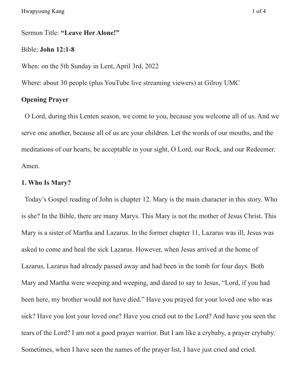Sermon Title: **"Leave Her Alone!"**

#### Bible: **John 12:1-8**

When: on the 5th Sunday in Lent, April 3rd, 2022

Where: about 30 people (plus YouTube live streaming viewers) at Gilroy UMC

# **Opening Prayer**

O Lord, during this Lenten season, we come to you, because you welcome all of us. And we serve one another, because all of us are your children. Let the words of our mouths, and the meditations of our hearts, be acceptable in your sight, O Lord, our Rock, and our Redeemer. Amen.

# **1. Who Is Mary?**

Today's Gospel reading of John is chapter 12. Mary is the main character in this story. Who is she? In the Bible, there are many Marys. This Mary is not the mother of Jesus Christ. This Mary is a sister of Martha and Lazarus. In the former chapter 11, Lazarus was ill, Jesus was asked to come and heal the sick Lazarus. However, when Jesus arrived at the home of Lazarus, Lazarus had already passed away and had been in the tomb for four days. Both Mary and Martha were weeping and weeping, and dared to say to Jesus, "Lord, if you had been here, my brother would not have died." Have you prayed for your loved one who was sick? Have you lost your loved one? Have you cried out to the Lord? And have you seen the tears of the Lord? I am not a good prayer warrior. But I am like a crybaby, a prayer crybaby. Sometimes, when I have seen the names of the prayer list, I have just cried and cried.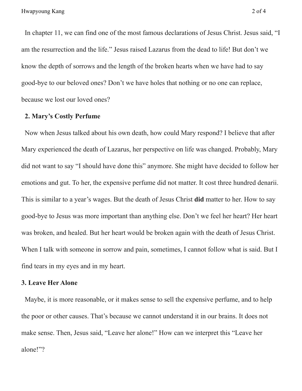In chapter 11, we can find one of the most famous declarations of Jesus Christ. Jesus said, "I am the resurrection and the life." Jesus raised Lazarus from the dead to life! But don't we know the depth of sorrows and the length of the broken hearts when we have had to say good-bye to our beloved ones? Don't we have holes that nothing or no one can replace, because we lost our loved ones?

### **2. Mary's Costly Perfume**

Now when Jesus talked about his own death, how could Mary respond? I believe that after Mary experienced the death of Lazarus, her perspective on life was changed. Probably, Mary did not want to say "I should have done this" anymore. She might have decided to follow her emotions and gut. To her, the expensive perfume did not matter. It cost three hundred denarii. This is similar to a year's wages. But the death of Jesus Christ **did** matter to her. How to say good-bye to Jesus was more important than anything else. Don't we feel her heart? Her heart was broken, and healed. But her heart would be broken again with the death of Jesus Christ. When I talk with someone in sorrow and pain, sometimes, I cannot follow what is said. But I find tears in my eyes and in my heart.

### **3. Leave Her Alone**

Maybe, it is more reasonable, or it makes sense to sell the expensive perfume, and to help the poor or other causes. That's because we cannot understand it in our brains. It does not make sense. Then, Jesus said, "Leave her alone!" How can we interpret this "Leave her alone!"?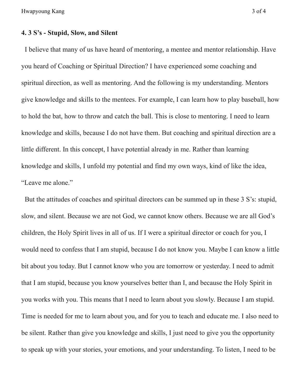Hwapyoung Kang 3 of 4

### **4. 3 S's - Stupid, Slow, and Silent**

I believe that many of us have heard of mentoring, a mentee and mentor relationship. Have you heard of Coaching or Spiritual Direction? I have experienced some coaching and spiritual direction, as well as mentoring. And the following is my understanding. Mentors give knowledge and skills to the mentees. For example, I can learn how to play baseball, how to hold the bat, how to throw and catch the ball. This is close to mentoring. I need to learn knowledge and skills, because I do not have them. But coaching and spiritual direction are a little different. In this concept, I have potential already in me. Rather than learning knowledge and skills, I unfold my potential and find my own ways, kind of like the idea, "Leave me alone."

But the attitudes of coaches and spiritual directors can be summed up in these 3 S's: stupid, slow, and silent. Because we are not God, we cannot know others. Because we are all God's children, the Holy Spirit lives in all of us. If I were a spiritual director or coach for you, I would need to confess that I am stupid, because I do not know you. Maybe I can know a little bit about you today. But I cannot know who you are tomorrow or yesterday. I need to admit that I am stupid, because you know yourselves better than I, and because the Holy Spirit in you works with you. This means that I need to learn about you slowly. Because I am stupid. Time is needed for me to learn about you, and for you to teach and educate me. I also need to be silent. Rather than give you knowledge and skills, I just need to give you the opportunity to speak up with your stories, your emotions, and your understanding. To listen, I need to be